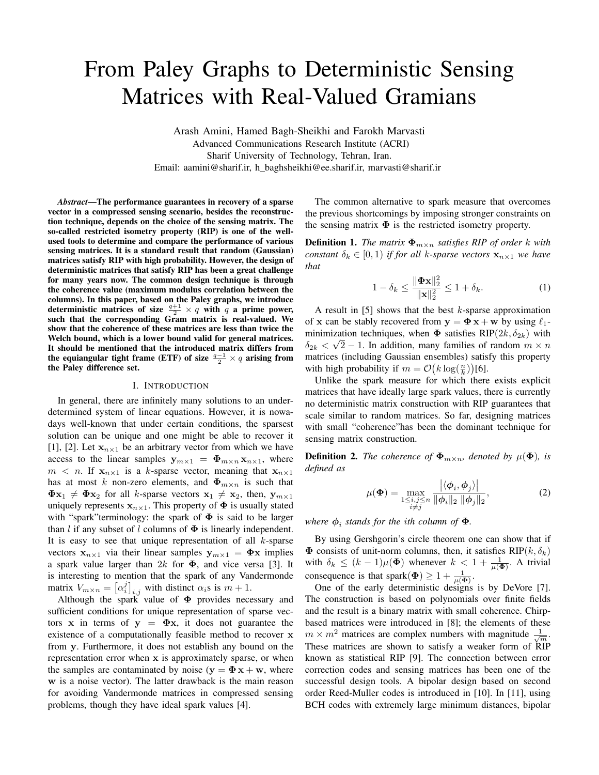# From Paley Graphs to Deterministic Sensing Matrices with Real-Valued Gramians

Arash Amini, Hamed Bagh-Sheikhi and Farokh Marvasti Advanced Communications Research Institute (ACRI) Sharif University of Technology, Tehran, Iran. Email: aamini@sharif.ir, h baghsheikhi@ee.sharif.ir, marvasti@sharif.ir

*Abstract*—The performance guarantees in recovery of a sparse vector in a compressed sensing scenario, besides the reconstruction technique, depends on the choice of the sensing matrix. The so-called restricted isometry property (RIP) is one of the wellused tools to determine and compare the performance of various sensing matrices. It is a standard result that random (Gaussian) matrices satisfy RIP with high probability. However, the design of deterministic matrices that satisfy RIP has been a great challenge for many years now. The common design technique is through the coherence value (maximum modulus correlation between the columns). In this paper, based on the Paley graphs, we introduce deterministic matrices of size  $\frac{q+1}{2} \times q$  with q a prime power, such that the corresponding Gram matrix is real-valued. We show that the coherence of these matrices are less than twice the Welch bound, which is a lower bound valid for general matrices. It should be mentioned that the introduced matrix differs from the equiangular tight frame (ETF) of size  $\frac{q-1}{2} \times q$  arising from the Paley difference set.

## I. INTRODUCTION

In general, there are infinitely many solutions to an underdetermined system of linear equations. However, it is nowadays well-known that under certain conditions, the sparsest solution can be unique and one might be able to recover it [1], [2]. Let  $x_{n\times 1}$  be an arbitrary vector from which we have access to the linear samples  $y_{m\times 1} = \Phi_{m\times n} x_{n\times 1}$ , where  $m \leq n$ . If  $x_{n\times 1}$  is a k-sparse vector, meaning that  $x_{n\times 1}$ has at most k non-zero elements, and  $\Phi_{m \times n}$  is such that  $\Phi \mathbf{x}_1 \neq \Phi \mathbf{x}_2$  for all k-sparse vectors  $\mathbf{x}_1 \neq \mathbf{x}_2$ , then,  $\mathbf{y}_{m \times 1}$ uniquely represents  $x_{n\times 1}$ . This property of  $\Phi$  is usually stated with "spark"terminology: the spark of  $\Phi$  is said to be larger than l if any subset of l columns of  $\Phi$  is linearly independent. It is easy to see that unique representation of all  $k$ -sparse vectors  $x_{n\times 1}$  via their linear samples  $y_{m\times 1} = \Phi x$  implies a spark value larger than  $2k$  for  $\Phi$ , and vice versa [3]. It is interesting to mention that the spark of any Vandermonde matrix  $V_{m \times n} = [\alpha_i^j]_{i,j}$  with distinct  $\alpha_i$ s is  $m + 1$ .

Although the spark value of  $\Phi$  provides necessary and sufficient conditions for unique representation of sparse vectors x in terms of  $y = \Phi x$ , it does not guarantee the existence of a computationally feasible method to recover x from y. Furthermore, it does not establish any bound on the representation error when x is approximately sparse, or when the samples are contaminated by noise ( $y = \Phi x + w$ , where w is a noise vector). The latter drawback is the main reason for avoiding Vandermonde matrices in compressed sensing problems, though they have ideal spark values [4].

The common alternative to spark measure that overcomes the previous shortcomings by imposing stronger constraints on the sensing matrix  $\Phi$  is the restricted isometry property.

**Definition 1.** *The matrix*  $\Phi_{m \times n}$  *satisfies RIP of order* k *with constant*  $\delta_k \in [0, 1)$  *if for all k-sparse vectors*  $\mathbf{x}_{n \times 1}$  *we have that*

$$
1 - \delta_k \le \frac{\|\mathbf{\Phi} \mathbf{x}\|_2^2}{\|\mathbf{x}\|_2^2} \le 1 + \delta_k.
$$
 (1)

A result in  $[5]$  shows that the best k-sparse approximation of x can be stably recovered from  $y = \Phi x + w$  by using  $\ell_1$ minimization techniques, when  $\Phi$  satisfies RIP(2k,  $\delta_{2k}$ ) with  $\delta_{2k} < \sqrt{2} - 1$ . In addition, many families of random  $m \times n$ matrices (including Gaussian ensembles) satisfy this property with high probability if  $m = \mathcal{O}\left(k \log(\frac{n}{k})\right)$ [6].

Unlike the spark measure for which there exists explicit matrices that have ideally large spark values, there is currently no deterministic matrix construction with RIP guarantees that scale similar to random matrices. So far, designing matrices with small "coherence"has been the dominant technique for sensing matrix construction.

**Definition 2.** *The coherence of*  $\Phi_{m \times n}$ *, denoted by*  $\mu(\Phi)$ *, is defined as*

$$
\mu(\mathbf{\Phi}) = \max_{\substack{1 \le i,j \le n \\ i \ne j}} \frac{|\langle \boldsymbol{\phi}_i, \boldsymbol{\phi}_j \rangle|}{\|\boldsymbol{\phi}_i\|_2 \|\boldsymbol{\phi}_j\|_2},\tag{2}
$$

*<i>here*  $\phi$ <sub>*i*</sub> stands for the ith column of  $\Phi$ .

By using Gershgorin's circle theorem one can show that if  $\Phi$  consists of unit-norm columns, then, it satisfies RIP( $k, \delta_k$ ) with  $\delta_k \leq (k-1)\mu(\Phi)$  whenever  $k < 1 + \frac{1}{\mu(\Phi)}$ . A trivial consequence is that spark $(\Phi) \geq 1 + \frac{1}{\mu(\Phi)}$ .

One of the early deterministic designs is by DeVore [7]. The construction is based on polynomials over finite fields and the result is a binary matrix with small coherence. Chirpbased matrices were introduced in [8]; the elements of these  $m \times m^2$  matrices are complex numbers with magnitude  $\frac{1}{\sqrt{m}}$ . These matrices are shown to satisfy a weaker form of  $\widehat{RIP}$ known as statistical RIP [9]. The connection between error correction codes and sensing matrices has been one of the successful design tools. A bipolar design based on second order Reed-Muller codes is introduced in [10]. In [11], using BCH codes with extremely large minimum distances, bipolar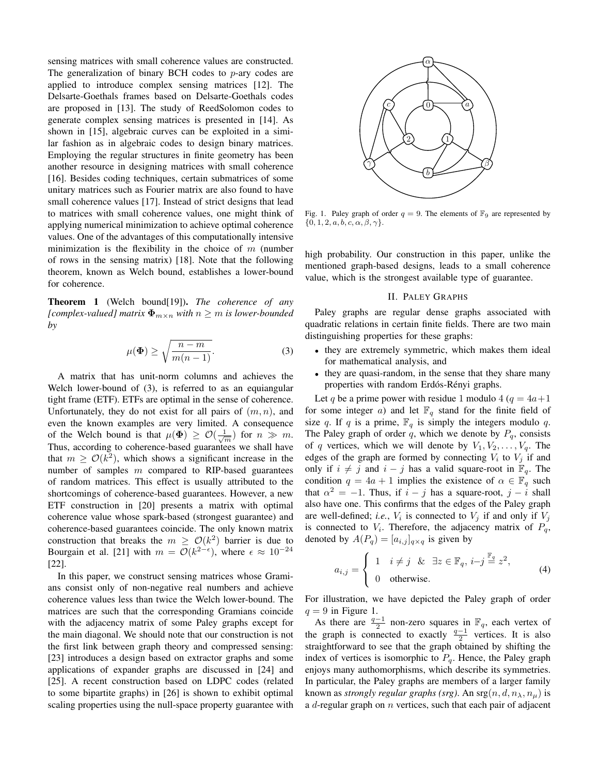sensing matrices with small coherence values are constructed. The generalization of binary BCH codes to  $p$ -ary codes are applied to introduce complex sensing matrices [12]. The Delsarte-Goethals frames based on Delsarte-Goethals codes are proposed in [13]. The study of ReedSolomon codes to generate complex sensing matrices is presented in [14]. As shown in [15], algebraic curves can be exploited in a similar fashion as in algebraic codes to design binary matrices. Employing the regular structures in finite geometry has been another resource in designing matrices with small coherence [16]. Besides coding techniques, certain submatrices of some unitary matrices such as Fourier matrix are also found to have small coherence values [17]. Instead of strict designs that lead to matrices with small coherence values, one might think of applying numerical minimization to achieve optimal coherence values. One of the advantages of this computationally intensive minimization is the flexibility in the choice of  $m$  (number of rows in the sensing matrix) [18]. Note that the following theorem, known as Welch bound, establishes a lower-bound for coherence.

Theorem 1 (Welch bound[19]). *The coherence of any [complex-valued] matrix*  $\Phi_{m \times n}$  *with*  $n \geq m$  *is lower-bounded by*

$$
\mu(\Phi) \ge \sqrt{\frac{n-m}{m(n-1)}}.\tag{3}
$$

A matrix that has unit-norm columns and achieves the Welch lower-bound of (3), is referred to as an equiangular tight frame (ETF). ETFs are optimal in the sense of coherence. Unfortunately, they do not exist for all pairs of  $(m, n)$ , and even the known examples are very limited. A consequence of the Welch bound is that  $\mu(\Phi) \geq \mathcal{O}(\frac{1}{\sqrt{m}})$  for  $n \gg m$ . Thus, according to coherence-based guarantees we shall have that  $m \geq \mathcal{O}(k^2)$ , which shows a significant increase in the number of samples  $m$  compared to RIP-based guarantees of random matrices. This effect is usually attributed to the shortcomings of coherence-based guarantees. However, a new ETF construction in [20] presents a matrix with optimal coherence value whose spark-based (strongest guarantee) and coherence-based guarantees coincide. The only known matrix construction that breaks the  $m \geq \mathcal{O}(k^2)$  barrier is due to Bourgain et al. [21] with  $m = \mathcal{O}(k^{2-\epsilon})$ , where  $\epsilon \approx 10^{-24}$ [22].

In this paper, we construct sensing matrices whose Gramians consist only of non-negative real numbers and achieve coherence values less than twice the Welch lower-bound. The matrices are such that the corresponding Gramians coincide with the adjacency matrix of some Paley graphs except for the main diagonal. We should note that our construction is not the first link between graph theory and compressed sensing: [23] introduces a design based on extractor graphs and some applications of expander graphs are discussed in [24] and [25]. A recent construction based on LDPC codes (related to some bipartite graphs) in [26] is shown to exhibit optimal scaling properties using the null-space property guarantee with



Fig. 1. Paley graph of order  $q = 9$ . The elements of  $\mathbb{F}_9$  are represented by  $\{0, 1, 2, a, b, c, \alpha, \beta, \gamma\}.$ 

high probability. Our construction in this paper, unlike the mentioned graph-based designs, leads to a small coherence value, which is the strongest available type of guarantee.

# II. PALEY GRAPHS

Paley graphs are regular dense graphs associated with quadratic relations in certain finite fields. There are two main distinguishing properties for these graphs:

- they are extremely symmetric, which makes them ideal for mathematical analysis, and
- they are quasi-random, in the sense that they share many properties with random Erdós-Rényi graphs.

Let q be a prime power with residue 1 modulo 4 ( $q = 4a+1$ ) for some integer a) and let  $\mathbb{F}_q$  stand for the finite field of size q. If q is a prime,  $\mathbb{F}_q$  is simply the integers modulo q. The Paley graph of order q, which we denote by  $P<sub>q</sub>$ , consists of q vertices, which we will denote by  $V_1, V_2, \ldots, V_q$ . The edges of the graph are formed by connecting  $V_i$  to  $V_j$  if and only if  $i \neq j$  and  $i - j$  has a valid square-root in  $\mathbb{F}_q$ . The condition  $q = 4a + 1$  implies the existence of  $\alpha \in \mathbb{F}_q$  such that  $\alpha^2 = -1$ . Thus, if  $i - j$  has a square-root,  $j - i$  shall also have one. This confirms that the edges of the Paley graph are well-defined; *i.e.*,  $V_i$  is connected to  $V_j$  if and only if  $V_j$ is connected to  $V_i$ . Therefore, the adjacency matrix of  $P_q$ , denoted by  $A(P_q) = [a_{i,j}]_{q \times q}$  is given by

$$
a_{i,j} = \begin{cases} 1 & i \neq j \quad \& \quad \exists z \in \mathbb{F}_q, i-j \stackrel{\mathbb{F}_q}{=} z^2, \\ 0 & \text{otherwise.} \end{cases}
$$
 (4)

For illustration, we have depicted the Paley graph of order  $q = 9$  in Figure 1.

As there are  $\frac{q-1}{2}$  non-zero squares in  $\mathbb{F}_q$ , each vertex of the graph is connected to exactly  $\frac{q-1}{2}$  vertices. It is also straightforward to see that the graph obtained by shifting the index of vertices is isomorphic to  $P<sub>q</sub>$ . Hence, the Paley graph enjoys many authomorphisms, which describe its symmetries. In particular, the Paley graphs are members of a larger family known as *strongly regular graphs (srg)*. An  $\arg(n, d, n_\lambda, n_\mu)$  is a  $d$ -regular graph on  $n$  vertices, such that each pair of adjacent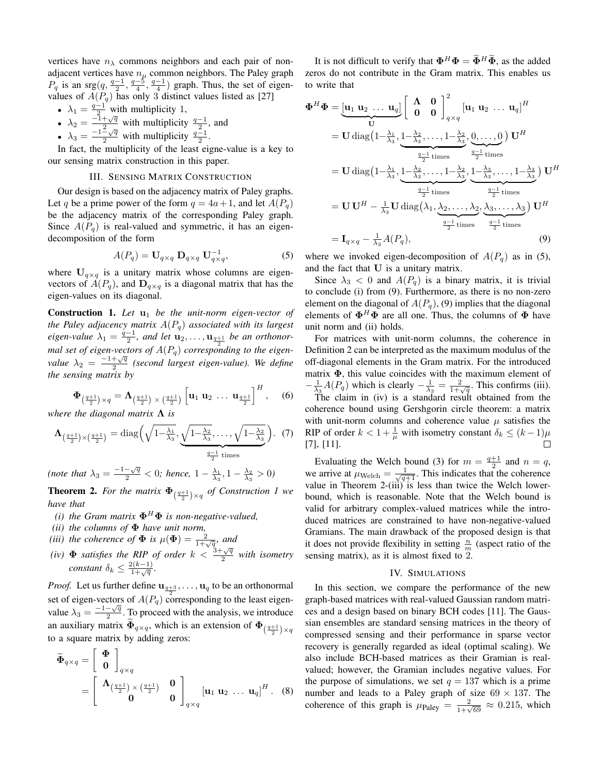vertices have  $n_{\lambda}$  commons neighbors and each pair of nonadjacent vertices have  $n_{\mu}$  common neighbors. The Paley graph  $P_q$  is an srg $\left(q, \frac{q-1}{2}, \frac{q-5}{4}, \frac{q-1}{4}\right)$  graph. Thus, the set of eigenvalues of  $A(P_q)$  has only 3 distinct values listed as [27]

- $\lambda_1 = \frac{q-1}{2}$  with multiplicity 1,
- $\lambda_2 = \frac{-1+\sqrt{q}}{2}$  with multiplicity  $\frac{q-1}{2}$ , and
- $\lambda_3 = \frac{-1-\sqrt{q}}{2}$  with multiplicity  $\frac{q-1}{2}$ .

In fact, the multiplicity of the least eigne-value is a key to our sensing matrix construction in this paper.

## III. SENSING MATRIX CONSTRUCTION

Our design is based on the adjacency matrix of Paley graphs. Let q be a prime power of the form  $q = 4a + 1$ , and let  $A(P_q)$ be the adjacency matrix of the corresponding Paley graph. Since  $A(P_q)$  is real-valued and symmetric, it has an eigendecomposition of the form

$$
A(P_q) = \mathbf{U}_{q \times q} \; \mathbf{D}_{q \times q} \; \mathbf{U}_{q \times q}^{-1}, \tag{5}
$$

where  $U_{q \times q}$  is a unitary matrix whose columns are eigenvectors of  $A(P_q)$ , and  $\mathbf{D}_{q \times q}$  is a diagonal matrix that has the eigen-values on its diagonal.

**Construction 1.** Let  $u_1$  be the unit-norm eigen-vector of *the Paley adjacency matrix* A(Pq) *associated with its largest eigen-value*  $\lambda_1 = \frac{q-1}{2}$ *, and let*  $\mathbf{u}_2, \ldots, \mathbf{u}_{\frac{q+1}{2}}$  *be an orthonormal set of eigen-vectors of*  $A(P_q)$  *corresponding to the eigenvalue*  $\lambda_2 = \frac{-1+\sqrt{q}}{2}$  $\frac{1+\sqrt{q}}{2}$  (second largest eigen-value). We define *the sensing matrix by*

$$
\Phi_{\left(\frac{q+1}{2}\right) \times q} = \Lambda_{\left(\frac{q+1}{2}\right) \times \left(\frac{q+1}{2}\right)} \left[ \mathbf{u}_1 \; \mathbf{u}_2 \; \dots \; \mathbf{u}_{\frac{q+1}{2}} \right]^H, \quad (6)
$$

*where the diagonal matrix* Λ *is*

$$
\Lambda_{\left(\frac{q+1}{2}\right)\times\left(\frac{q+1}{2}\right)} = \text{diag}\left(\sqrt{1-\frac{\lambda_1}{\lambda_3}}, \underbrace{\sqrt{1-\frac{\lambda_2}{\lambda_3}}, \dots, \sqrt{1-\frac{\lambda_2}{\lambda_3}}}_{\frac{q-1}{2} \text{ times}}\right). (7)
$$

(note that  $\lambda_3 = \frac{-1 - \sqrt{q}}{2} < 0$ ; hence,  $1 - \frac{\lambda_1}{\lambda_3}, 1 - \frac{\lambda_2}{\lambda_3} > 0$ )

**Theorem 2.** For the matrix  $\Phi_{\left(\frac{q+1}{2}\right)\times q}$  of Construction 1 we *have that*

- *(i) the Gram matrix*  $\mathbf{\Phi}^H \mathbf{\Phi}$  *is non-negative-valued,*
- *(ii) the columns of* Φ *have unit norm,*
- *(iii) the coherence of*  $\Phi$  *is*  $\mu(\Phi) = \frac{2}{1+\sqrt{q}}$ *, and*
- (*iv*)  $\Phi$  *satisfies the RIP of order*  $k < \frac{3+\sqrt{q}}{2}$  *with isometry constant*  $\delta_k \leq \frac{2(k-1)}{1+\sqrt{q}}$ .

*Proof.* Let us further define  $\mathbf{u}_{q+3}, \ldots, \mathbf{u}_q$  to be an orthonormal set of eigen-vectors of  $A(P_q)$  corresponding to the least eigenvalue  $\lambda_3 = \frac{-1-\sqrt{q}}{2}$  $\frac{-\sqrt{q}}{2}$ . To proceed with the analysis, we introduce an auxiliary matrix  $\Phi_{q \times q}$ , which is an extension of  $\Phi_{\left(\frac{q+1}{2}\right) \times q}$ to a square matrix by adding zeros:

$$
\widetilde{\Phi}_{q \times q} = \begin{bmatrix} \Phi \\ 0 \end{bmatrix}_{q \times q}
$$

$$
= \begin{bmatrix} \Lambda_{\left(\frac{q+1}{2}\right) \times \left(\frac{q+1}{2}\right)} & 0 \\ 0 & 0 \end{bmatrix}_{q \times q} \begin{bmatrix} \mathbf{u}_1 & \mathbf{u}_2 & \dots & \mathbf{u}_q \end{bmatrix}^H. \quad (8)
$$

It is not difficult to verify that  $\mathbf{\Phi}^H \mathbf{\Phi} = \widetilde{\mathbf{\Phi}}^H \widetilde{\mathbf{\Phi}}$ , as the added zeros do not contribute in the Gram matrix. This enables us to write that

$$
\Phi^{H} \Phi = \underbrace{[\mathbf{u}_{1} \mathbf{u}_{2} \dots \mathbf{u}_{q}]}_{\mathbf{U}} \begin{bmatrix} \mathbf{\Lambda} & \mathbf{0} \\ \mathbf{0} & \mathbf{0} \end{bmatrix}^{2}_{q \times q} [\mathbf{u}_{1} \mathbf{u}_{2} \dots \mathbf{u}_{q}]^{H}
$$
\n
$$
= \mathbf{U} \operatorname{diag} \left( 1 - \frac{\lambda_{1}}{\lambda_{3}}, \underbrace{1 - \frac{\lambda_{2}}{\lambda_{3}}, \dots, 1 - \frac{\lambda_{2}}{\lambda_{3}}, 0, \dots, 0}_{\frac{q-1}{2} \text{ times}} \right) \mathbf{U}^{H}
$$
\n
$$
= \mathbf{U} \operatorname{diag} \left( 1 - \frac{\lambda_{1}}{\lambda_{3}}, \underbrace{1 - \frac{\lambda_{2}}{\lambda_{3}}, \dots, 1 - \frac{\lambda_{2}}{\lambda_{3}}, \underbrace{1 - \frac{\lambda_{3}}{\lambda_{3}}, \dots, 1 - \frac{\lambda_{3}}{\lambda_{3}}}_{\frac{q-1}{2} \text{ times}} \right) \mathbf{U}^{H}
$$
\n
$$
= \mathbf{U} \mathbf{U}^{H} - \frac{1}{\lambda_{3}} \mathbf{U} \operatorname{diag} \left( \lambda_{1}, \underbrace{\lambda_{2}, \dots, \lambda_{2}}, \underbrace{\lambda_{3}, \dots, \lambda_{3}}_{\frac{q-1}{2} \text{ times}} \right) \mathbf{U}^{H}
$$
\n
$$
= \mathbf{I}_{q \times q} - \frac{1}{\lambda_{3}} A(P_{q}), \qquad (9)
$$

where we invoked eigen-decomposition of  $A(P_q)$  as in (5), and the fact that U is a unitary matrix.

Since  $\lambda_3$  < 0 and  $A(P_q)$  is a binary matrix, it is trivial to conclude (i) from (9). Furthermore, as there is no non-zero element on the diagonal of  $A(P_q)$ , (9) implies that the diagonal elements of  $\mathbf{\Phi}^H \mathbf{\Phi}$  are all one. Thus, the columns of  $\mathbf{\Phi}$  have unit norm and (ii) holds.

For matrices with unit-norm columns, the coherence in Definition 2 can be interpreted as the maximum modulus of the off-diagonal elements in the Gram matrix. For the introduced matrix  $\Phi$ , this value coincides with the maximum element of  $-\frac{1}{\lambda_3}A(P_q)$  which is clearly  $-\frac{1}{\lambda_3}=\frac{2}{1+\sqrt{q}}$ . This confirms (iii).

The claim in (iv) is a standard result obtained from the coherence bound using Gershgorin circle theorem: a matrix with unit-norm columns and coherence value  $\mu$  satisfies the RIP of order  $k < 1 + \frac{1}{\mu}$  with isometry constant  $\delta_k \le (k-1)\mu$ [7], [11].

Evaluating the Welch bound (3) for  $m = \frac{q+1}{2}$  and  $n = q$ , we arrive at  $\mu_{\text{Welch}} = \frac{1}{\sqrt{q+1}}$ . This indicates that the coherence value in Theorem 2- $(iii)$  is less than twice the Welch lowerbound, which is reasonable. Note that the Welch bound is valid for arbitrary complex-valued matrices while the introduced matrices are constrained to have non-negative-valued Gramians. The main drawback of the proposed design is that it does not provide flexibility in setting  $\frac{n}{m}$  (aspect ratio of the sensing matrix), as it is almost fixed to 2.

#### IV. SIMULATIONS

In this section, we compare the performance of the new graph-based matrices with real-valued Gaussian random matrices and a design based on binary BCH codes [11]. The Gaussian ensembles are standard sensing matrices in the theory of compressed sensing and their performance in sparse vector recovery is generally regarded as ideal (optimal scaling). We also include BCH-based matrices as their Gramian is realvalued; however, the Gramian includes negative values. For the purpose of simulations, we set  $q = 137$  which is a prime number and leads to a Paley graph of size  $69 \times 137$ . The coherence of this graph is  $\mu_{\text{Paley}} = \frac{2}{1+\sqrt{69}} \approx 0.215$ , which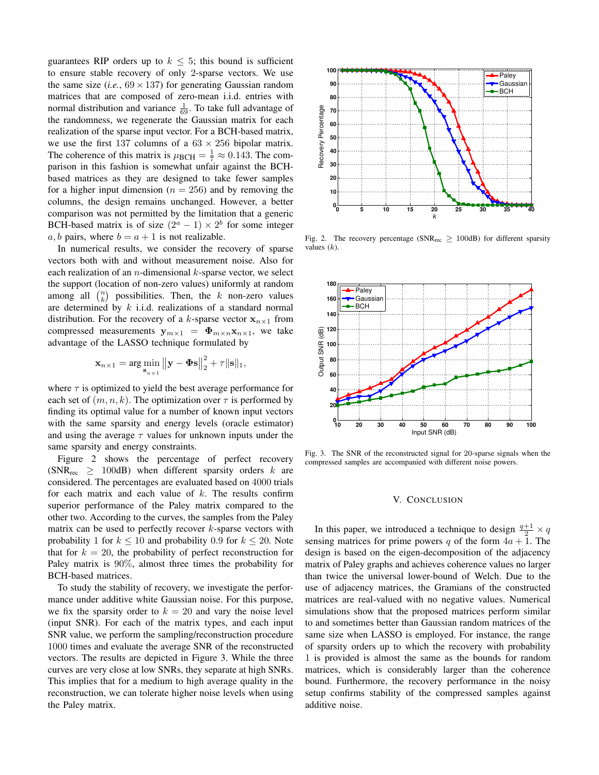guarantees RIP orders up to  $k \leq 5$ ; this bound is sufficient to ensure stable recovery of only 2-sparse vectors. We use the same size (*i.e.*,  $69 \times 137$ ) for generating Gaussian random matrices that are composed of zero-mean i.i.d. entries with normal distribution and variance  $\frac{1}{69}$ . To take full advantage of the randomness, we regenerate the Gaussian matrix for each realization of the sparse input vector. For a BCH-based matrix, we use the first 137 columns of a  $63 \times 256$  bipolar matrix. The coherence of this matrix is  $\mu_{\text{BCH}} = \frac{1}{7} \approx 0.143$ . The comparison in this fashion is somewhat unfair against the BCHbased matrices as they are designed to take fewer samples for a higher input dimension ( $n = 256$ ) and by removing the columns, the design remains unchanged. However, a better comparison was not permitted by the limitation that a generic BCH-based matrix is of size  $(2^a - 1) \times 2^b$  for some integer a, b pairs, where  $b = a + 1$  is not realizable.

In numerical results, we consider the recovery of sparse vectors both with and without measurement noise. Also for each realization of an *n*-dimensional  $k$ -sparse vector, we select the support (location of non-zero values) uniformly at random among all  $\binom{n}{k}$  possibilities. Then, the k non-zero values are determined by  $k$  i.i.d. realizations of a standard normal distribution. For the recovery of a k-sparse vector  $x_{n\times 1}$  from compressed measurements  $y_{m\times 1} = \Phi_{m\times n}x_{n\times 1}$ , we take advantage of the LASSO technique formulated by

$$
\mathbf{x}_{n\times 1} = \arg\min_{\mathbf{s}_{n\times 1}} ||\mathbf{y} - \mathbf{\Phi}\mathbf{s}||_2^2 + \tau ||\mathbf{s}||_1,
$$

where  $\tau$  is optimized to yield the best average performance for each set of  $(m, n, k)$ . The optimization over  $\tau$  is performed by finding its optimal value for a number of known input vectors with the same sparsity and energy levels (oracle estimator) and using the average  $\tau$  values for unknown inputs under the same sparsity and energy constraints.

Figure 2 shows the percentage of perfect recovery (SNR<sub>rec</sub>  $\geq$  100dB) when different sparsity orders k are considered. The percentages are evaluated based on 4000 trials for each matrix and each value of  $k$ . The results confirm superior performance of the Paley matrix compared to the other two. According to the curves, the samples from the Paley matrix can be used to perfectly recover  $k$ -sparse vectors with probability 1 for  $k \le 10$  and probability 0.9 for  $k \le 20$ . Note that for  $k = 20$ , the probability of perfect reconstruction for Paley matrix is 90%, almost three times the probability for BCH-based matrices.

To study the stability of recovery, we investigate the performance under additive white Gaussian noise. For this purpose, we fix the sparsity order to  $k = 20$  and vary the noise level (input SNR). For each of the matrix types, and each input SNR value, we perform the sampling/reconstruction procedure 1000 times and evaluate the average SNR of the reconstructed vectors. The results are depicted in Figure 3. While the three curves are very close at low SNRs, they separate at high SNRs. This implies that for a medium to high average quality in the reconstruction, we can tolerate higher noise levels when using the Paley matrix.



Fig. 2. The recovery percentage (SNR<sub>rec</sub>  $\geq$  100dB) for different sparsity values  $(k)$ .



Fig. 3. The SNR of the reconstructed signal for 20-sparse signals when the compressed samples are accompanied with different noise powers.

## V. CONCLUSION

In this paper, we introduced a technique to design  $\frac{q+1}{2} \times q$ sensing matrices for prime powers q of the form  $4a + 1$ . The design is based on the eigen-decomposition of the adjacency matrix of Paley graphs and achieves coherence values no larger than twice the universal lower-bound of Welch. Due to the use of adjacency matrices, the Gramians of the constructed matrices are real-valued with no negative values. Numerical simulations show that the proposed matrices perform similar to and sometimes better than Gaussian random matrices of the same size when LASSO is employed. For instance, the range of sparsity orders up to which the recovery with probability 1 is provided is almost the same as the bounds for random matrices, which is considerably larger than the coherence bound. Furthermore, the recovery performance in the noisy setup confirms stability of the compressed samples against additive noise.